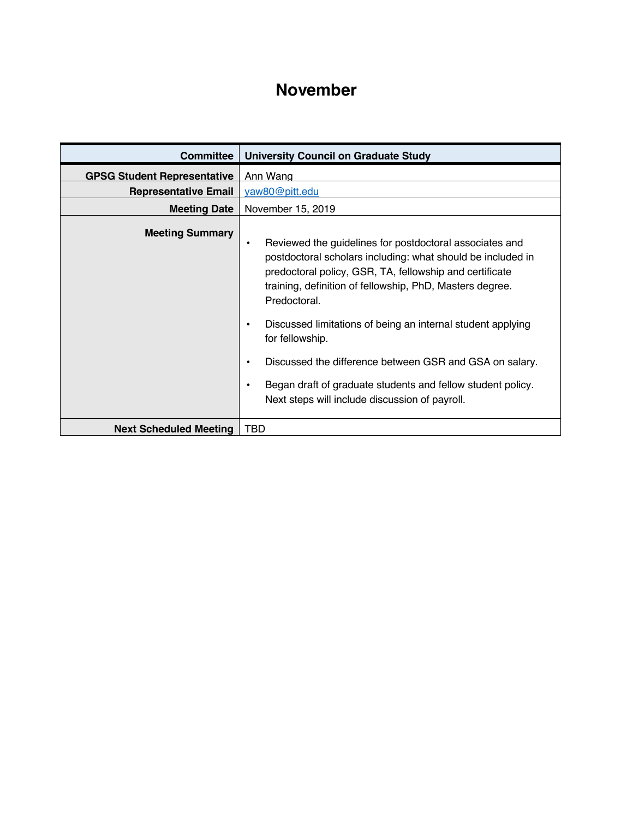## **November**

| <b>Committee</b>                   | <b>University Council on Graduate Study</b>                                                                                                                                                                                                                                                                                                                                                                                                                                                                                                             |
|------------------------------------|---------------------------------------------------------------------------------------------------------------------------------------------------------------------------------------------------------------------------------------------------------------------------------------------------------------------------------------------------------------------------------------------------------------------------------------------------------------------------------------------------------------------------------------------------------|
| <b>GPSG Student Representative</b> | Ann Wang                                                                                                                                                                                                                                                                                                                                                                                                                                                                                                                                                |
| <b>Representative Email</b>        | yaw80@pitt.edu                                                                                                                                                                                                                                                                                                                                                                                                                                                                                                                                          |
| <b>Meeting Date</b>                | November 15, 2019                                                                                                                                                                                                                                                                                                                                                                                                                                                                                                                                       |
| <b>Meeting Summary</b>             | Reviewed the guidelines for postdoctoral associates and<br>٠<br>postdoctoral scholars including: what should be included in<br>predoctoral policy, GSR, TA, fellowship and certificate<br>training, definition of fellowship, PhD, Masters degree.<br>Predoctoral.<br>Discussed limitations of being an internal student applying<br>٠<br>for fellowship.<br>Discussed the difference between GSR and GSA on salary.<br>$\bullet$<br>Began draft of graduate students and fellow student policy.<br>٠<br>Next steps will include discussion of payroll. |
| <b>Next Scheduled Meeting</b>      | TBD                                                                                                                                                                                                                                                                                                                                                                                                                                                                                                                                                     |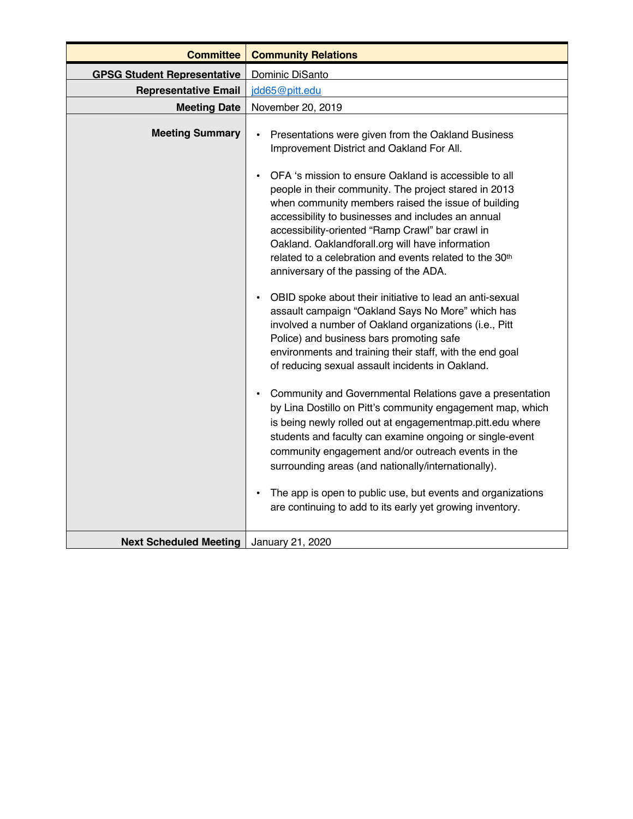| <b>Committee</b>                   | <b>Community Relations</b>                                                                                                                                                                                                                                                                                                                                                                                                                                        |
|------------------------------------|-------------------------------------------------------------------------------------------------------------------------------------------------------------------------------------------------------------------------------------------------------------------------------------------------------------------------------------------------------------------------------------------------------------------------------------------------------------------|
| <b>GPSG Student Representative</b> | Dominic DiSanto                                                                                                                                                                                                                                                                                                                                                                                                                                                   |
| <b>Representative Email</b>        | jdd65@pitt.edu                                                                                                                                                                                                                                                                                                                                                                                                                                                    |
| <b>Meeting Date</b>                | November 20, 2019                                                                                                                                                                                                                                                                                                                                                                                                                                                 |
| <b>Meeting Summary</b>             | Presentations were given from the Oakland Business<br>$\bullet$<br>Improvement District and Oakland For All.                                                                                                                                                                                                                                                                                                                                                      |
|                                    | OFA 's mission to ensure Oakland is accessible to all<br>$\bullet$<br>people in their community. The project stared in 2013<br>when community members raised the issue of building<br>accessibility to businesses and includes an annual<br>accessibility-oriented "Ramp Crawl" bar crawl in<br>Oakland. Oaklandforall.org will have information<br>related to a celebration and events related to the 30 <sup>th</sup><br>anniversary of the passing of the ADA. |
|                                    | OBID spoke about their initiative to lead an anti-sexual<br>$\bullet$<br>assault campaign "Oakland Says No More" which has<br>involved a number of Oakland organizations (i.e., Pitt<br>Police) and business bars promoting safe<br>environments and training their staff, with the end goal<br>of reducing sexual assault incidents in Oakland.                                                                                                                  |
|                                    | Community and Governmental Relations gave a presentation<br>$\bullet$<br>by Lina Dostillo on Pitt's community engagement map, which<br>is being newly rolled out at engagementmap.pitt.edu where<br>students and faculty can examine ongoing or single-event<br>community engagement and/or outreach events in the<br>surrounding areas (and nationally/internationally).<br>The app is open to public use, but events and organizations<br>$\bullet$             |
|                                    | are continuing to add to its early yet growing inventory.                                                                                                                                                                                                                                                                                                                                                                                                         |
| <b>Next Scheduled Meeting</b>      | January 21, 2020                                                                                                                                                                                                                                                                                                                                                                                                                                                  |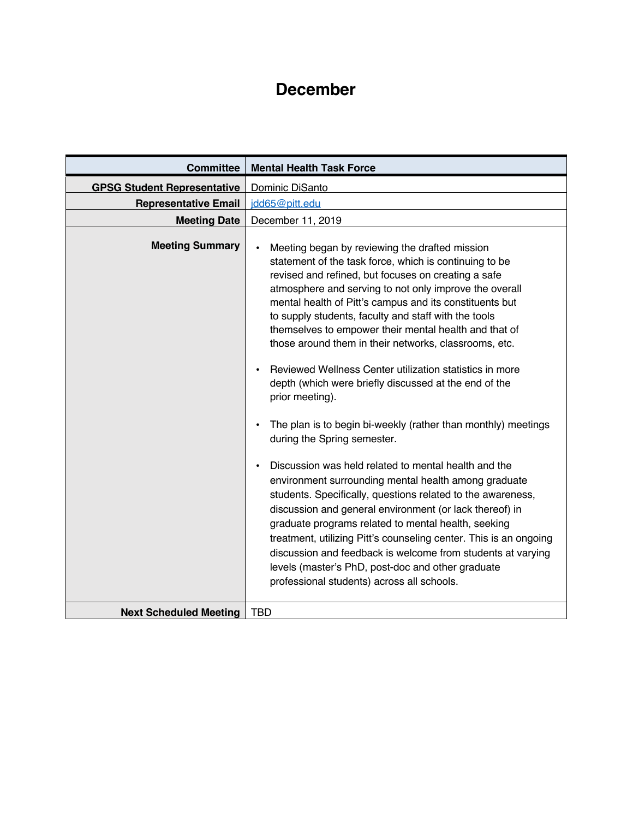## **December**

| <b>Committee</b>                   | <b>Mental Health Task Force</b>                                                                                                                                                                                                                                                                                                                                                                                                                                                                                                                                                                                                                                                                                                                                                                                                                                                                                                                                                                                                                                                                                                                                                                                                               |
|------------------------------------|-----------------------------------------------------------------------------------------------------------------------------------------------------------------------------------------------------------------------------------------------------------------------------------------------------------------------------------------------------------------------------------------------------------------------------------------------------------------------------------------------------------------------------------------------------------------------------------------------------------------------------------------------------------------------------------------------------------------------------------------------------------------------------------------------------------------------------------------------------------------------------------------------------------------------------------------------------------------------------------------------------------------------------------------------------------------------------------------------------------------------------------------------------------------------------------------------------------------------------------------------|
| <b>GPSG Student Representative</b> | Dominic DiSanto                                                                                                                                                                                                                                                                                                                                                                                                                                                                                                                                                                                                                                                                                                                                                                                                                                                                                                                                                                                                                                                                                                                                                                                                                               |
| <b>Representative Email</b>        | idd65@pitt.edu                                                                                                                                                                                                                                                                                                                                                                                                                                                                                                                                                                                                                                                                                                                                                                                                                                                                                                                                                                                                                                                                                                                                                                                                                                |
| <b>Meeting Date</b>                | December 11, 2019                                                                                                                                                                                                                                                                                                                                                                                                                                                                                                                                                                                                                                                                                                                                                                                                                                                                                                                                                                                                                                                                                                                                                                                                                             |
| <b>Meeting Summary</b>             | Meeting began by reviewing the drafted mission<br>statement of the task force, which is continuing to be<br>revised and refined, but focuses on creating a safe<br>atmosphere and serving to not only improve the overall<br>mental health of Pitt's campus and its constituents but<br>to supply students, faculty and staff with the tools<br>themselves to empower their mental health and that of<br>those around them in their networks, classrooms, etc.<br>Reviewed Wellness Center utilization statistics in more<br>depth (which were briefly discussed at the end of the<br>prior meeting).<br>The plan is to begin bi-weekly (rather than monthly) meetings<br>during the Spring semester.<br>Discussion was held related to mental health and the<br>environment surrounding mental health among graduate<br>students. Specifically, questions related to the awareness,<br>discussion and general environment (or lack thereof) in<br>graduate programs related to mental health, seeking<br>treatment, utilizing Pitt's counseling center. This is an ongoing<br>discussion and feedback is welcome from students at varying<br>levels (master's PhD, post-doc and other graduate<br>professional students) across all schools. |
|                                    |                                                                                                                                                                                                                                                                                                                                                                                                                                                                                                                                                                                                                                                                                                                                                                                                                                                                                                                                                                                                                                                                                                                                                                                                                                               |
| <b>Next Scheduled Meeting</b>      | <b>TBD</b>                                                                                                                                                                                                                                                                                                                                                                                                                                                                                                                                                                                                                                                                                                                                                                                                                                                                                                                                                                                                                                                                                                                                                                                                                                    |